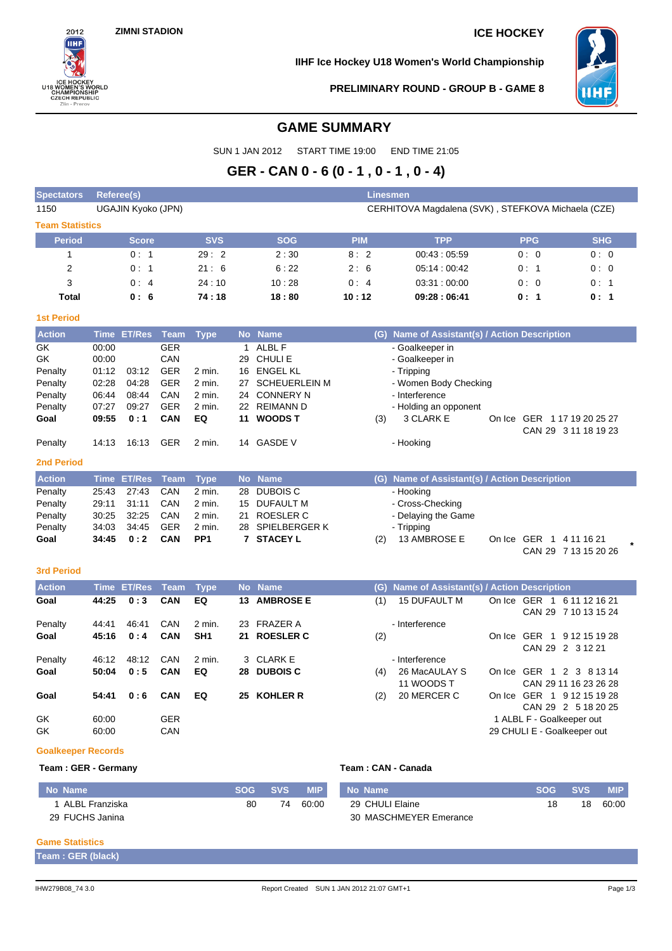

**IIHF Ice Hockey U18 Women's World Championship**



**PRELIMINARY ROUND - GROUP B - GAME 8**

# **GAME SUMMARY**

SUN 1 JAN 2012 START TIME 19:00 END TIME 21:05

# **GER - CAN 0 - 6 (0 - 1 , 0 - 1 , 0 - 4)**

| <b>Spectators</b>      | <b>Referee(s)</b>  |                    |             |                 |    |                      |                                                    | Linesmen                                  |  |            |                                                     |  |  |  |  |
|------------------------|--------------------|--------------------|-------------|-----------------|----|----------------------|----------------------------------------------------|-------------------------------------------|--|------------|-----------------------------------------------------|--|--|--|--|
| 1150                   | UGAJIN Kyoko (JPN) |                    |             |                 |    |                      | CERHITOVA Magdalena (SVK), STEFKOVA Michaela (CZE) |                                           |  |            |                                                     |  |  |  |  |
| <b>Team Statistics</b> |                    |                    |             |                 |    |                      |                                                    |                                           |  |            |                                                     |  |  |  |  |
| <b>Period</b>          |                    | <b>Score</b>       |             | <b>SVS</b>      |    | <b>SOG</b>           | <b>PIM</b>                                         | <b>TPP</b>                                |  | <b>PPG</b> | <b>SHG</b>                                          |  |  |  |  |
| 1                      |                    | 0:1                |             | 29:2            |    | 2:30                 | 8:2                                                | 00:43:05:59                               |  | 0:0        | 0:0                                                 |  |  |  |  |
| 2                      |                    | 0:1                |             | 21:6            |    | 6:22                 | 2:6                                                | 05:14:00:42                               |  | 0:1        | 0:0                                                 |  |  |  |  |
| 3                      |                    | 0:4                |             | 24:10           |    | 10:28                | 0:4                                                | 03:31:00:00                               |  | 0:0        | 0:1                                                 |  |  |  |  |
| Total                  |                    | 0:6                |             | 74:18           |    | 18:80                | 10:12                                              | 09:28:06:41                               |  | 0: 1       | 0:1                                                 |  |  |  |  |
| <b>1st Period</b>      |                    |                    |             |                 |    |                      |                                                    |                                           |  |            |                                                     |  |  |  |  |
| <b>Action</b>          |                    | Time ET/Res        | <b>Team</b> | <b>Type</b>     |    | No Name              | (G)                                                | Name of Assistant(s) / Action Description |  |            |                                                     |  |  |  |  |
| <b>GK</b>              | 00:00              |                    | <b>GER</b>  |                 | 1  | ALBL F               |                                                    | - Goalkeeper in                           |  |            |                                                     |  |  |  |  |
| <b>GK</b>              | 00:00              |                    | CAN         |                 | 29 | <b>CHULIE</b>        |                                                    | - Goalkeeper in                           |  |            |                                                     |  |  |  |  |
| Penalty                | 01:12              | 03:12              | <b>GER</b>  | 2 min.          |    | 16 ENGEL KL          |                                                    | - Tripping                                |  |            |                                                     |  |  |  |  |
| Penalty                | 02:28              | 04:28              | <b>GER</b>  | 2 min.          | 27 | <b>SCHEUERLEIN M</b> |                                                    | - Women Body Checking                     |  |            |                                                     |  |  |  |  |
| Penalty                | 06:44              | 08:44              | CAN         | 2 min.          |    | 24 CONNERY N         |                                                    | - Interference                            |  |            |                                                     |  |  |  |  |
| Penalty                | 07:27              | 09:27              | <b>GER</b>  | 2 min.          |    | 22 REIMANN D         |                                                    | - Holding an opponent                     |  |            |                                                     |  |  |  |  |
| Goal                   | 09:55              | 0:1                | <b>CAN</b>  | EQ              | 11 | <b>WOODST</b>        | (3)                                                | 3 CLARK E                                 |  |            | On Ice GER 1 17 19 20 25 27<br>CAN 29 3 11 18 19 23 |  |  |  |  |
| Penalty                | 14:13              | 16:13              | GER         | 2 min.          |    | 14 GASDE V           |                                                    | - Hooking                                 |  |            |                                                     |  |  |  |  |
| <b>2nd Period</b>      |                    |                    |             |                 |    |                      |                                                    |                                           |  |            |                                                     |  |  |  |  |
| <b>Action</b>          |                    | <b>Time ET/Res</b> | <b>Team</b> | <b>Type</b>     |    | No Name              | (G)                                                | Name of Assistant(s) / Action Description |  |            |                                                     |  |  |  |  |
| Penalty                | 25:43              | 27:43              | CAN         | 2 min.          | 28 | <b>DUBOIS C</b>      |                                                    | - Hooking                                 |  |            |                                                     |  |  |  |  |
| Penalty                | 29:11              | 31:11              | CAN         | 2 min.          | 15 | <b>DUFAULT M</b>     |                                                    | - Cross-Checking                          |  |            |                                                     |  |  |  |  |
| Penalty                | 30:25              | 32:25              | CAN         | 2 min.          | 21 | <b>ROESLER C</b>     |                                                    | - Delaying the Game                       |  |            |                                                     |  |  |  |  |
| Penalty                | 34:03              | 34:45              | <b>GER</b>  | 2 min.          |    | 28 SPIELBERGER K     |                                                    | - Tripping                                |  |            |                                                     |  |  |  |  |
| Goal                   | 34:45              | 0:2                | <b>CAN</b>  | PP <sub>1</sub> |    | 7 STACEY L           | (2)                                                | 13 AMBROSE E                              |  |            | On Ice GER 1 4 11 16 21<br>CAN 29 7 13 15 20 26     |  |  |  |  |
| <b>3rd Period</b>      |                    |                    |             |                 |    |                      |                                                    |                                           |  |            |                                                     |  |  |  |  |
| <b>Action</b>          |                    | <b>Time ET/Res</b> | <b>Team</b> | <b>Type</b>     |    | No Name              | (G)                                                | Name of Assistant(s) / Action Description |  |            |                                                     |  |  |  |  |
| Goal                   | 44:25              | 0:3                | CAN         | EQ              | 13 | <b>AMBROSE E</b>     | (1)                                                | <b>15 DUFAULT M</b>                       |  |            | On Ice GER 1 6 11 12 16 21<br>CAN 29 7 10 13 15 24  |  |  |  |  |
| Penalty                | 44:41              | 46:41              | CAN         | 2 min.          | 23 | <b>FRAZER A</b>      |                                                    | - Interference                            |  |            |                                                     |  |  |  |  |
| Goal                   | 45:16              | 0:4                | <b>CAN</b>  | SH <sub>1</sub> | 21 | <b>ROESLER C</b>     | (2)                                                |                                           |  |            | On Ice GER 1 9 12 15 19 28<br>CAN 29 2 3 12 21      |  |  |  |  |
| Penalty                | 46:12              | 48:12              | CAN         | 2 min.          | 3  | <b>CLARK E</b>       |                                                    | - Interference                            |  |            |                                                     |  |  |  |  |
| Goal                   | 50:04              | 0:5                | CAN         | EQ              | 28 | <b>DUBOIS C</b>      | (4)                                                | 26 MacAULAY S                             |  |            | On Ice GER 1 2 3 8 13 14                            |  |  |  |  |

**Goalkeeper Records Team : GER - Germany Team : CAN - Canada**

### **No Name SOG SVS MIP** 1 ALBL Franziska 29 FUCHS Janina 80 74 60:00 **No Name SOG SVS MIP** 29 CHULI Elaine 30 MASCHMEYER Emerance 18 18 60:00

**Goal 54:41 0 : 6 CAN EQ 25 KOHLER R** (2) 20 MERCER C On Ice GER 1 9 12 15 19 28

GK 60:00 GER 60:00 GER 60:00 GER 60:00 GER 50 GER 50 GER 50 GER 50 GER 50 GER 50 GER 50 GER 50 GER 50 GER 50 GER GK 60:00 CAN 60:00 CAN 29 CHULI E - Goalkeeper out

11 WOODS T

### **Game Statistics**

| Team: GER (black) |
|-------------------|
|-------------------|

CAN 29 11 16 23 26 28

CAN 29 2 5 18 20 25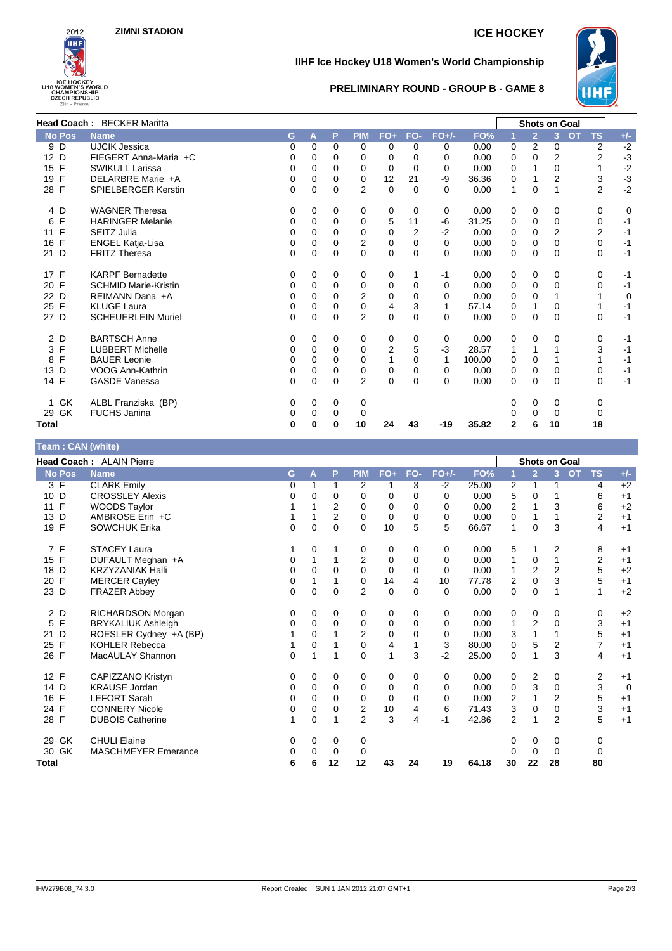

### **IIHF Ice Hockey U18 Women's World Championship**



## **PRELIMINARY ROUND - GROUP B - GAME 8**

|                    | <b>Head Coach: BECKER Maritta</b> |          |          |   |                |             |                |          |        |              | <b>Shots on Goal</b> |                |           |                |       |
|--------------------|-----------------------------------|----------|----------|---|----------------|-------------|----------------|----------|--------|--------------|----------------------|----------------|-----------|----------------|-------|
| <b>No Pos</b>      | <b>Name</b>                       | G.       | A        | P | <b>PIM</b>     | $FO+$       | FO-            | $FO+/-$  | FO%    |              | $\overline{2}$       | 3              | <b>OT</b> | <b>TS</b>      | $+/-$ |
| 9 D                | <b>UJCIK Jessica</b>              | 0        | 0        | 0 | 0              | 0           | 0              | 0        | 0.00   | 0            | 2                    | 0              |           | $\overline{2}$ | $-2$  |
| 12 D               | FIEGERT Anna-Maria +C             | 0        | 0        | 0 | 0              | $\Omega$    | 0              | 0        | 0.00   | 0            | $\Omega$             | $\overline{2}$ |           | 2              | $-3$  |
| 15 F               | <b>SWIKULL Larissa</b>            | 0        | 0        | 0 | 0              | $\mathbf 0$ | 0              | 0        | 0.00   | 0            |                      | $\Omega$       |           | 1              | $-2$  |
| 19 F               | DELARBRE Marie +A                 | 0        | 0        | 0 | $\Omega$       | 12          | 21             | -9       | 36.36  | 0            |                      | $\overline{2}$ |           | 3              | $-3$  |
| 28 F               | SPIELBERGER Kerstin               | 0        | 0        | 0 | $\overline{2}$ | 0           | 0              | $\Omega$ | 0.00   | 1            | 0                    | 1              |           | $\overline{2}$ | $-2$  |
| 4 D                | <b>WAGNER Theresa</b>             | 0        | 0        | 0 | 0              | 0           | 0              | 0        | 0.00   | 0            | 0                    | 0              |           | 0              | 0     |
| $\mathsf{F}$<br>6  | <b>HARINGER Melanie</b>           | 0        | 0        | 0 | 0              | 5           | 11             | -6       | 31.25  | 0            | 0                    | $\Omega$       |           | 0              | $-1$  |
| $\mathsf{F}$<br>11 | SEITZ Julia                       | 0        | 0        | 0 | 0              | 0           | $\overline{2}$ | $-2$     | 0.00   | 0            | 0                    | 2              |           | 2              | $-1$  |
| 16 F               | <b>ENGEL Katja-Lisa</b>           | 0        | $\Omega$ | 0 | 2              | 0           | 0              | $\Omega$ | 0.00   | 0            | $\Omega$             | $\Omega$       |           | $\Omega$       | $-1$  |
| D<br>21            | <b>FRITZ Theresa</b>              | $\Omega$ | 0        | 0 | $\Omega$       | 0           | $\Omega$       | $\Omega$ | 0.00   | 0            | 0                    | $\Omega$       |           | $\Omega$       | $-1$  |
| 17 F               | <b>KARPF Bernadette</b>           | 0        | 0        | 0 | 0              | 0           | 1              | -1       | 0.00   | 0            | 0                    | 0              |           | 0              | $-1$  |
| 20 F               | <b>SCHMID Marie-Kristin</b>       | 0        | 0        | 0 | 0              | 0           | 0              | $\Omega$ | 0.00   | 0            | $\Omega$             | $\Omega$       |           | 0              | $-1$  |
| 22 D               | REIMANN Dana +A                   | 0        | 0        | 0 | 2              | 0           | 0              | 0        | 0.00   | 0            | 0                    |                |           |                | 0     |
| 25 F               | <b>KLUGE Laura</b>                | 0        | 0        | 0 | 0              | 4           | 3              |          | 57.14  | 0            | 1                    | $\Omega$       |           | 1              | $-1$  |
| 27 D               | <b>SCHEUERLEIN Muriel</b>         | 0        | 0        | 0 | $\overline{2}$ | $\mathbf 0$ | 0              | 0        | 0.00   | 0            | 0                    | $\mathbf 0$    |           | 0              | $-1$  |
| 2 D                | <b>BARTSCH Anne</b>               | 0        | 0        | 0 | 0              | 0           | 0              | 0        | 0.00   | 0            | 0                    | 0              |           | 0              | $-1$  |
| 3 F                | <b>LUBBERT Michelle</b>           | 0        | 0        | 0 | 0              | 2           | 5              | $-3$     | 28.57  | 1            |                      |                |           | 3              | $-1$  |
| F<br>8             | <b>BAUER Leonie</b>               | 0        | 0        | 0 | $\Omega$       | 1           | 0              | 1        | 100.00 | 0            | 0                    |                |           | 1              | $-1$  |
| D<br>13            | VOOG Ann-Kathrin                  | 0        | 0        | 0 | 0              | 0           | 0              | 0        | 0.00   | 0            | 0                    | 0              |           | 0              | $-1$  |
| 14 F               | <b>GASDE Vanessa</b>              | 0        | 0        | 0 | $\overline{2}$ | $\Omega$    | $\Omega$       | $\Omega$ | 0.00   | $\Omega$     | $\Omega$             | $\Omega$       |           | $\Omega$       | $-1$  |
| 1 GK               | ALBL Franziska (BP)               | 0        | 0        | 0 | 0              |             |                |          |        | 0            | 0                    | 0              |           | 0              |       |
| 29 GK              | <b>FUCHS Janina</b>               | 0        | 0        | 0 | 0              |             |                |          |        |              | 0                    | 0              |           | 0              |       |
| Total              |                                   | 0        | 0        | 0 | 10             | 24          | 43             | $-19$    | 35.82  | $\mathbf{2}$ | 6                    | 10             |           | 18             |       |

### **Team : CAN (white) Head Coach :** ALAIN Pierre **Shots on Goal No Pos Name G A P PIM FO+ FO- FO+/- FO% 1 2 3 OT TS +/-** 3 F CLARK Emily 0 1 1 2 1 3 -2 25.00 2 1 1 4 +2 10 D CROSSLEY Alexis 0 0 0 0 0 0 0 0.00 5 0 1 6 +1 11 F WOODS Taylor 1 1 2 0 0 0 0 0.00 2 1 3 6 +2 13 D AMBROSE Erin +C 1 1 2 0 0 0 0 0.00 0 1 1 2 +1 19 F SOWCHUK Erika 0 0 0 0 10 5 5 66.67 1 0 3 4 +1 7 F STACEY Laura 1 0 1 0 0 0 0 0.00 5 1 2 8 +1 15 F DUFAULT Meghan +A 0 1 1 2 0 0 0 0.00 1 0 1 2 +1 18 D KRZYZANIAK Halli 0 0 0 0 0 0 0 0.00 1 2 2 5 +2 MERCER Cayley **0 1 1 0 14 4 10** 23 D FRAZER Abbey 0 0 0 2 0 0 0 0.00 0 0 1 1 +2 2 D RICHARDSON Morgan 0 0 0 0 0 0 0 0.00 0 0 0 0 +2 5 F BRYKALIUK Ashleigh 0 0 0 0 0 0 0 0.00 1 2 0 3 +1 21 D ROESLER Cydney +A (BP) 1 0 1 2 0 0 0 0 0.00 3 1 1 5<br>1 0 1 0 4 1 3 80.00 0 5 2 7 25 F KOHLER Rebecca 1 0 1 0 4 1 3 80.00 0 5 2 7 +1 26 F MacAULAY Shannon 0 1 1 0 1 3 -2 25.00 0 1 3 4 +1 12 F CAPIZZANO Kristyn 0 0 0 0 0 0 0 0.00 0 2 0 2 +1 14 D KRAUSE Jordan 0 0 0 0 0 0 0 0.00 0 3 0 3 0 16 F LEFORT Sarah 0 0 0 0 0 0 0 0.00 2 1 2 5 +1 24 F CONNERY Nicole 0 0 0 2 10 4 6 71.43 3 0 0 3 +1 28 F DUBOIS Catherine 1 0 1 2 3 4 -1 42.86 2 1 2 5 +1 29 GK CHULI Elaine 0 0 0 0 0 0 0 0 30 GK MASCHMEYER Emerance 0 0 0 0 0 0 0 0 **Total 6 6 12 12 43 24 19 64.18 30 22 28 80**